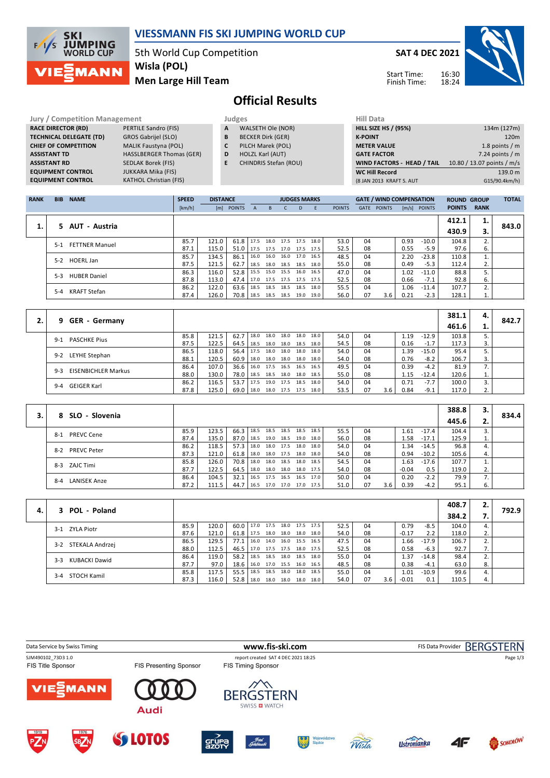

#### **VIESSMANN FIS SKI JUMPING WORLD CUP**

5th World Cup Competition **Men Large Hill Team Wisla (POL)**

**SAT 4 DEC 2021**



Start Time: Finish Time:

# **Official Results**

**Jury / Competition Management Judges**<br> **RACE DIRECTOR (RD)** PERTILE Sandro (FIS) **A** WA **RACE DIRECTOR (RD) TECHNICAL DELEGATE (TD)** GROS Gabrijel (SLO)<br> **CHIEF OF COMPETITION** MALIK Faustyna (POL) **CHIEF OF COMPETITION ASSISTANT TD** HASSLBERGER Thomas (GER) **ASSISTANT RD** SEDLAK Borek (FIS)<br>**EQUIPMENT CONTROL** JUKKARA Mika (FIS) **EQUIPMENT CONTROL**<br>**EQUIPMENT CONTROL** 

**KATHOL Christian (FIS)** 

- **A** WALSETH Ole (NOR)
- **B** BECKER Dirk (GER)
- **C** PILCH Marek (POL)
- **D** HOLZL Karl (AUT)
- **E** CHINDRIS Stefan (ROU)

| Hill Data                         |                            |
|-----------------------------------|----------------------------|
| <b>HILL SIZE HS / (95%)</b>       | 134m (127m)                |
| <b>K-POINT</b>                    | 120 <sub>m</sub>           |
| <b>METER VALUE</b>                | 1.8 points $/m$            |
| <b>GATE FACTOR</b>                | 7.24 points $/m$           |
| <b>WIND FACTORS - HEAD / TAIL</b> | 10.80 / 13.07 points / m/s |
| <b>WC Hill Record</b>             | 139.0 m                    |
| (8 JAN 2013 KRAFT S. AUT          | G15/90.4km/h)              |
|                                   |                            |

| <b>RANK</b> | <b>BIB</b> | <b>NAME</b>           | <b>SPEED</b> | <b>DISTANCE</b> |            |              |                     | <b>JUDGES MARKS</b> |      |      |               |      | <b>GATE / WIND COMPENSATION</b> |      |                | <b>ROUND GROUP</b> |             | <b>TOTAL</b> |
|-------------|------------|-----------------------|--------------|-----------------|------------|--------------|---------------------|---------------------|------|------|---------------|------|---------------------------------|------|----------------|--------------------|-------------|--------------|
|             |            |                       | [km/h]       |                 | [m] POINTS | $\mathsf{A}$ | B.                  |                     | D.   | F    | <b>POINTS</b> | GATE | <b>POINTS</b>                   |      | $[m/s]$ POINTS | <b>POINTS</b>      | <b>RANK</b> |              |
|             |            |                       |              |                 |            |              |                     |                     |      |      |               |      |                                 |      |                | 412.1              | 1.          |              |
| 1.          |            | 5 AUT - Austria       |              |                 |            |              |                     |                     |      |      |               |      |                                 |      |                | 430.9              | з.          | 843.0        |
|             | $5 - 1$    | <b>FETTNER Manuel</b> | 85.7         | 121.0           | 61.8       | 17.5         | 18.0 17.5 17.5      |                     |      | 18.0 | 53.0          | 04   |                                 | 0.93 | $-10.0$        | 104.8              | 2.          |              |
|             |            |                       | 87.1         | 115.0           | 51.0       |              | 17.5 17.5 17.0 17.5 |                     |      | 17.5 | 52.5          | 08   |                                 | 0.55 | $-5.9$         | 97.6               | 6.          |              |
|             | $5-2$      | <b>HOERL Jan</b>      | 85.7         | 134.5           | 86.1       | 16.0         | 16.0                | 16.0 17.0           |      | 16.5 | 48.5          | 04   |                                 | 2.20 | $-23.8$        | 110.8              |             |              |
|             |            |                       | 87.5         | 121.5           | 62.7       | 18.5         | 18.0 18.5 18.5      |                     |      | 18.0 | 55.0          | 08   |                                 | 0.49 | $-5.3$         | 112.4              | 2.          |              |
|             | $5-3$      | <b>HUBER Daniel</b>   | 86.3         | 116.0           | 52.8       |              | 15.5 15.0 15.5 16.0 |                     |      | 16.5 | 47.0          | 04   |                                 | 1.02 | $-11.0$        | 88.8               |             |              |
|             |            |                       | 87.8         | 113.0           | 47.4       |              | 17.0 17.5 17.5      |                     | 17.5 | 17.5 | 52.5          | 08   |                                 | 0.66 | $-7.1$         | 92.8               | 6.          |              |
|             | $5 - 4$    | KRAFT Stefan          | 86.2         | 122.0           | 63.6       | 18.5         | 18.5                | 18.5                | 18.5 | 18.0 | 55.5          | 04   |                                 | 1.06 | $-11.4$        | 107.7              | 2.          |              |
|             |            |                       | 87.4         | 126.0           | 70.8       |              | 18.5 18.5 18.5      |                     | 19.0 | 19.0 | 56.0          | 07   | 3.6                             | 0.21 | $-2.3$         | 128.1              | 1.          |              |

|    |                                       |      |       |        |      |      |                     |      |      |    |     |      |         | 381.1 | 4. |       |
|----|---------------------------------------|------|-------|--------|------|------|---------------------|------|------|----|-----|------|---------|-------|----|-------|
| 2. | 9 GER - Germany                       |      |       |        |      |      |                     |      |      |    |     |      |         | 461.6 | ı. | 842.7 |
|    | <b>PASCHKE Pius</b><br>$9-1$          | 85.8 | 121.5 | 62.7   | 18.0 | 18.0 | 18.0 18.0           | 18.0 | 54.0 | 04 |     | 1.19 | $-12.9$ | 103.8 |    |       |
|    |                                       | 87.5 | 122.5 | 64.5   | 18.5 |      | 18.0 18.0 18.5      | 18.0 | 54.5 | 08 |     | 0.16 | $-1.7$  | 117.3 | 3. |       |
|    | LEYHE Stephan<br>$9-2$                | 86.5 | 118.0 | 56.4   | 17.5 | 18.0 | 18.0 18.0           | 18.0 | 54.0 | 04 |     | 1.39 | $-15.0$ | 95.4  |    |       |
|    |                                       | 88.1 | 120.5 | 60.9   | 18.0 |      | 18.0 18.0 18.0      | 18.0 | 54.0 | 08 |     | 0.76 | $-8.2$  | 106.7 | 3. |       |
|    | <b>EISENBICHLER Markus</b><br>$9 - 3$ | 86.4 | 107.0 | 36.6   | 16.0 |      | 17.5 16.5 16.5 16.5 |      | 49.5 | 04 |     | 0.39 | $-4.2$  | 81.9  | 7. |       |
|    |                                       | 88.0 | 130.0 | 78.0   | 18.5 |      | 18.5 18.0 18.0      | 18.5 | 55.0 | 08 |     | 1.15 | $-12.4$ | 120.6 | 1. |       |
|    | GEIGER Karl                           | 86.2 | 116.5 | 53.7   | 17.5 | 19.0 | 17.5 18.5           | 18.0 | 54.0 | 04 |     | 0.71 | $-7.7$  | 100.0 | 3. |       |
|    | $9 - 4$                               | 87.8 | 125.0 | 69.0 l | 18.0 |      | 18.0 17.5 17.5      | 18.0 | 53.5 | 07 | 3.6 | 0.84 | $-9.1$  | 117.0 | 2. |       |

|                             |      |       |               |      |           |                |                     |      |      |    |     |         |         | 388.8 | з. |       |
|-----------------------------|------|-------|---------------|------|-----------|----------------|---------------------|------|------|----|-----|---------|---------|-------|----|-------|
| 8 SLO - Slovenia            |      |       |               |      |           |                |                     |      |      |    |     |         |         | 445.6 | z. | 834.4 |
| <b>PREVC Cene</b><br>8-1    | 85.9 | 123.5 | $66.3$   18.5 |      |           | 18.5 18.5 18.5 |                     | 18.5 | 55.5 | 04 |     | 1.61    | $-17.4$ | 104.4 | 3. |       |
|                             | 87.4 | 135.0 | 87.0          | 18.5 |           | 19.0 18.5      | 19.0                | 18.0 | 56.0 | 08 |     | 58ء     | $-17.1$ | 125.9 | 1. |       |
| <b>PREVC Peter</b><br>$8-2$ | 86.2 | 118.5 | $57.3$   18.0 |      |           | 18.0 17.5      | 18.0                | 18.0 | 54.0 | 04 |     | 1.34    | $-14.5$ | 96.8  | 4. |       |
|                             | 87.3 | 121.0 | $61.8$   18.0 |      |           |                | 18.0 17.5 18.0      | 18.0 | 54.0 | 08 |     | 0.94    | $-10.2$ | 105.6 | 4. |       |
| ZAJC Timi<br>$8-3$          | 85.8 | 126.0 | 70.8 18.0     |      |           | 18.0 18.5 18.0 |                     | 18.5 | 54.5 | 04 |     | ـ 63.   | $-17.6$ | 107.7 |    |       |
|                             | 87.7 | 122.5 | $64.5$   18.0 |      |           |                | 18.0 18.0 18.0      | 17.5 | 54.0 | 08 |     | $-0.04$ | 0.5     | 119.0 | 2. |       |
| $8 - 4$                     | 86.4 | 104.5 | 32.1          | 16.5 | 17.5 16.5 |                | 16.5                | 17.0 | 50.0 | 04 |     | 0.20    | $-2.2$  | 79.9  |    |       |
| <b>LANISEK Anze</b>         | 87.2 | 111.5 | 44.7          | 16.5 |           |                | 17.0 17.0 17.0 17.5 |      | 51.0 | 07 | 3.6 | 0.39    | $-4.2$  | 95.1  | 6. |       |

|    |                        |      |       |                                 |      |      |                |                     |      |      |    |     |         |         | 408.7 | z. |       |
|----|------------------------|------|-------|---------------------------------|------|------|----------------|---------------------|------|------|----|-----|---------|---------|-------|----|-------|
| 4. | 3 POL - Poland         |      |       |                                 |      |      |                |                     |      |      |    |     |         |         | 384.2 |    | 792.9 |
|    | 3-1 ZYLA Piotr         | 85.9 | 120.0 | 60.0   17.0 17.5 18.0 17.5 17.5 |      |      |                |                     |      | 52.5 | 04 |     | 0.79    | $-8.5$  | 104.0 | 4. |       |
|    |                        | 87.6 | 121.0 | $61.8$   17.5                   |      |      |                | 18.0 18.0 18.0      | 18.0 | 54.0 | 08 |     | $-0.17$ | 2.2     | 118.0 | 2. |       |
|    | 3-2 STEKALA Andrzej    | 86.5 | 129.5 | $77.1$ 16.0                     |      |      |                | 14.0 16.0 15.5      | 16.5 | 47.5 | 04 |     | 1.66    | $-17.9$ | 106.7 | z. |       |
|    |                        | 88.0 | 112.5 | $46.5$   17.0                   |      |      | 17.5 17.5 18.0 |                     | 17.5 | 52.5 | 08 |     | 0.58    | $-6.3$  | 92.7  | 7. |       |
|    | KUBACKI Dawid<br>$3-3$ | 86.4 | 119.0 | $58.2$   18.5                   |      |      |                | 18.5 18.0 18.5      | 18.0 | 55.0 | 04 |     | 1.37    | $-14.8$ | 98.4  | 2. |       |
|    |                        | 87.7 | 97.0  | 18.6   16.0 17.0 15.5 16.0 16.5 |      |      |                |                     |      | 48.5 | 08 |     | 0.38    | $-4.1$  | 63.0  | 8. |       |
|    | 3-4 STOCH Kamil        | 85.8 | 117.5 | 55.5                            | 18.5 | 18.5 | 18.0           | 18.0                | 18.5 | 55.0 | 04 |     | 1.01    | $-10.9$ | 99.6  | 4. |       |
|    |                        | 87.3 | 116.0 | $52.8$   18.0                   |      |      |                | 18.0 18.0 18.0 18.0 |      | 54.0 | 07 | 3.6 | $-0.01$ | 0.1     | 110.5 | 4. |       |

| Data Service by Swiss Timing            |                               |                                                                  | www.fis-ski.com             |                    |    | FIS Data Provider BERGSTERN |
|-----------------------------------------|-------------------------------|------------------------------------------------------------------|-----------------------------|--------------------|----|-----------------------------|
| SJM490102_73D3 1.0<br>FIS Title Sponsor | <b>FIS Presenting Sponsor</b> | report created SAT 4 DEC 2021 18:25<br><b>FIS Timing Sponsor</b> |                             |                    |    | Page 1/3                    |
| <b>VIESMANN</b>                         | <b>Audi</b>                   | <b>BERGSTERN</b><br>SWISS <b>EI</b> WATCH                        |                             |                    |    |                             |
| PZN<br>1976<br><b>SBZN</b>              | <b>SS LOTOS</b>               | ffotel<br>Gotebiewski<br><b>SEUPA</b>                            | Województwo<br>Śląskie<br>鎏 | <b>Ustronianka</b> | 4F | SOKOŁÓW                     |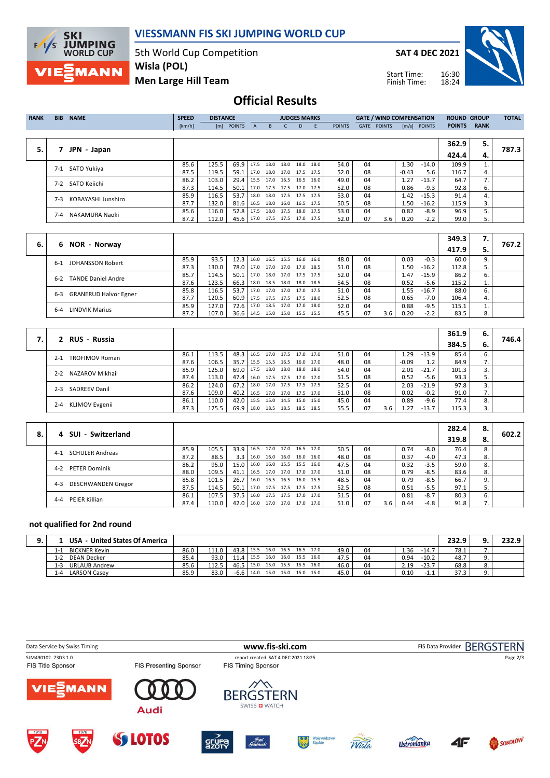

### **VIESSMANN FIS SKI JUMPING WORLD CUP**

5th World Cup Competition **Wisla (POL)**

**SAT 4 DEC 2021**

Start Time: Finish Time:



**Men Large Hill Team**

## **Official Results**

| <b>RANK</b> | <b>BIB</b> | <b>NAME</b>        | <b>SPEED</b> | <b>DISTANCE</b> |                               |   |                                 | <b>JUDGES MARKS</b> |      |           |               |      | <b>GATE / WIND COMPENSATION</b> |         |                | <b>ROUND GROUP</b> |             | <b>TOTAL</b> |
|-------------|------------|--------------------|--------------|-----------------|-------------------------------|---|---------------------------------|---------------------|------|-----------|---------------|------|---------------------------------|---------|----------------|--------------------|-------------|--------------|
|             |            |                    | [km/h]       |                 | [m] POINTS                    | A | B.                              |                     | D.   | E         | <b>POINTS</b> | GATE | <b>POINTS</b>                   |         | $[m/s]$ POINTS | <b>POINTS</b>      | <b>RANK</b> |              |
|             |            |                    |              |                 |                               |   |                                 |                     |      |           |               |      |                                 |         |                |                    |             |              |
|             |            |                    |              |                 |                               |   |                                 |                     |      |           |               |      |                                 |         |                | 362.9              | 5.          |              |
| 5.          |            | JPN - Japan        |              |                 |                               |   |                                 |                     |      |           |               |      |                                 |         |                | 424.4              | 4.          | 787.3        |
|             | $7-1$      | SATO Yukiya        | 85.6         | 125.5           |                               |   | $69.9$ 17.5 18.0                | 18.0                | 18.0 | - 18.0 l  | 54.0          | 04   |                                 | 1.30    | -14.0          | 109.9              |             |              |
|             |            |                    | 87.5         | 119.5           | 59.1                          |   | 17.0 18.0 17.0 17.5 17.5        |                     |      |           | 52.0          | 08   |                                 | $-0.43$ | 5.6            | 116.7              | 4.          |              |
|             | $7-2$      | SATO Keiichi       | 86.2         | 103.0           | 29.4                          |   | 15.5 17.0 16.5 16.5 16.0        |                     |      |           | 49.0          | 04   |                                 | 1.27    | $-13.7$        | 64.7               | 7.          |              |
|             |            |                    | 87.3         | 114.5           | 50.1                          |   | 17.0 17.5 17.5 17.0 17.5        |                     |      |           | 52.0          | 08   |                                 | 0.86    | $-9.3$         | 92.8               | 6.          |              |
|             | $7-3$      | KOBAYASHI Junshiro | 85.9         | 116.5           | 53.7                          |   | 18.0 18.0 17.5 17.5 17.5        |                     |      |           | 53.0          | 04   |                                 | 1.42    | $-15.3$        | 91.4               | 4.          |              |
|             |            |                    | 87.7         | 132.0           | 81.6 16.5 18.0 16.0 16.5 17.5 |   |                                 |                     |      |           | 50.5          | 08   |                                 | 1.50    | $-16.2$        | 115.9              | 3.          |              |
|             | 7-4        | NAKAMURA Naoki     | 85.6         | 116.0           |                               |   | 52.8   17.5 18.0 17.5           |                     |      | 18.0 17.5 | 53.0          | 04   |                                 | 0.82    | -8.9           | 96.9               |             |              |
|             |            |                    | 87.2         | 112.0           |                               |   | 45.6   17.0 17.5 17.5 17.0 17.5 |                     |      |           | 52.0          | 07   | 3.6                             | 0.20    | $-2.2$         | 99.0               | 5.          |              |
|             |            |                    |              |                 |                               |   |                                 |                     |      |           |               |      |                                 |         |                |                    |             |              |

|    |                                         |      |       |                  |                                 |      |                     |      |      |    |     |      |         | 349.3 |    |       |
|----|-----------------------------------------|------|-------|------------------|---------------------------------|------|---------------------|------|------|----|-----|------|---------|-------|----|-------|
| 6. | 6 NOR - Norway                          |      |       |                  |                                 |      |                     |      |      |    |     |      |         | 417.9 | 5. | 767.2 |
|    | JOHANSSON Robert<br>$6-1$               | 85.9 | 93.5  | $12.3 \mid 16.0$ |                                 |      | 16.5 15.5 16.0      | 16.0 | 48.0 | 04 |     | 0.03 | $-0.3$  | 60.0  |    |       |
|    |                                         | 87.3 | 130.0 |                  | 78.0 17.0 17.0 17.0 17.0        |      |                     | 18.5 | 51.0 | 08 |     | 50.ء | $-16.2$ | 112.8 |    |       |
|    | <b>TANDE Daniel Andre</b><br>$6 - 2$    | 85.7 | 114.5 | $50.1$ 17.0      |                                 |      | 18.0 17.0 17.5 17.5 |      | 52.0 | 04 |     | 1.47 | $-15.9$ | 86.2  | ь. |       |
|    |                                         | 87.6 | 123.5 | $66.3$   18.0    |                                 | 18.5 | 18.0 18.0 18.5      |      | 54.5 | 08 |     | 0.52 | $-5.6$  | 115.2 | ⊥. |       |
|    | <b>GRANERUD Halvor Egner</b><br>$6 - 3$ | 85.8 | 116.5 | $53.7$ 17.0      |                                 |      | 17.0 17.0 17.0 17.5 |      | 51.0 | 04 |     | 1.55 | $-16.7$ | 88.0  | 6. |       |
|    |                                         | 87.7 | 120.5 |                  | 60.9 17.5 17.5 17.5 17.5        |      |                     | 18.0 | 52.5 | 08 |     | 0.65 | $-7.0$  | 106.4 | 4. |       |
|    | <b>LINDVIK Marius</b><br>$6 - 4$        | 85.9 | 127.0 | 72.6 17.0        |                                 | 18.5 | 17.0 17.0           | 18.0 | 52.0 | 04 |     | 0.88 | $-9.5$  | 115.1 |    |       |
|    |                                         | 87.2 | 107.0 |                  | 36.6   14.5 15.0 15.0 15.5 15.5 |      |                     |      | 45.5 | 07 | 3.6 | 0.20 | $-2.2$  | 83.5  | 8. |       |

| 2 RUS - Russia                   |      |       |                   |                          |      |           |                     |      |      |    |     |         |         | 361.9 | 6. |       |
|----------------------------------|------|-------|-------------------|--------------------------|------|-----------|---------------------|------|------|----|-----|---------|---------|-------|----|-------|
|                                  |      |       |                   |                          |      |           |                     |      |      |    |     |         |         | 384.5 | 6. | 746.4 |
| <b>TROFIMOV Roman</b><br>$2 - 1$ | 86.1 | 113.5 | 48.3              | 16.5                     | 17.0 | 17.5 17.0 |                     | 17.0 | 51.0 | 04 |     | . 29    | $-13.9$ | 85.4  | 6. |       |
|                                  | 87.6 | 106.5 | 35.7 <sup>1</sup> | 15.5 15.5 16.5 16.0      |      |           |                     | 17.0 | 48.0 | 08 |     | $-0.09$ | 1.2     | 84.9  | 7. |       |
| NAZAROV Mikhail<br>$2 - 2$       | 85.9 | 125.0 | 69.0              | 17.5                     | 18.0 | 18.0      | 18.0                | 18.0 | 54.0 | 04 |     | 2.01    | $-21.7$ | 101.3 |    |       |
|                                  | 87.4 | 113.0 | 47.4 l            | 16.0                     |      |           | 17.5 17.5 17.0      | 17.0 | 51.5 | 08 |     | 0.52    | -5.6    | 93.3  |    |       |
| <b>SADREEV Danil</b><br>$2 - 3$  | 86.2 | 124.0 | 67.2              | 18.0                     |      |           | 17.0 17.5 17.5 17.5 |      | 52.5 | 04 |     | 2.03    | $-21.9$ | 97.8  |    |       |
|                                  | 87.6 | 109.0 | $40.2$            | 16.5 17.0 17.0 17.5 17.0 |      |           |                     |      | 51.0 | 08 |     | 0.02    | $-0.2$  | 91.0  |    |       |
| KLIMOV Evgenii<br>$2 - 4$        | 86.1 | 110.0 | $42.0$            | 15.5                     |      |           | 15.0 14.5 15.0      | 15.0 | 45.0 | 04 |     | 0.89    | $-9.6$  | 77.4  | 8. |       |
|                                  | 87.3 | 125.5 | 69.9              | 18.0                     |      |           | 18.5 18.5 18.5 18.5 |      | 55.5 | 07 | 3.6 | . 27    | $-13.7$ | 115.3 | 3. |       |

|    | SUI - Switzerland                    |      |       |                  |      |                |                     |                     |      |    |     |      |        | 282.4 | 8. | 602.2 |
|----|--------------------------------------|------|-------|------------------|------|----------------|---------------------|---------------------|------|----|-----|------|--------|-------|----|-------|
| 8. |                                      |      |       |                  |      |                |                     |                     |      |    |     |      |        | 319.8 | 8. |       |
|    | <b>SCHULER Andreas</b><br>$4 - 1$    | 85.9 | 105.5 | $33.9$ 16.5      |      |                |                     | 17.0 17.0 16.5 17.0 | 50.5 | 04 |     | 0.74 | -8.0   | 76.4  | 8. |       |
|    |                                      | 87.2 | 88.5  | 3.3 <sub>1</sub> | 16.0 |                | 16.0 16.0 16.0      | 16.0                | 48.0 | 08 |     | 0.37 | -4.0   | 47.3  | 8. |       |
|    | <b>PETER Dominik</b><br>$4 - 2$      | 86.2 | 95.0  | $15.0$ 16.0      |      | 16.0 15.5 15.5 |                     | 16.0                | 47.5 | 04 |     | 0.32 | $-3.5$ | 59.0  | 8. |       |
|    |                                      | 88.0 | 109.5 | $41.1$   16.5    |      |                | 17.0 17.0 17.0 17.0 |                     | 51.0 | 08 |     | 0.79 | $-8.5$ | 83.6  | 8. |       |
|    | <b>DESCHWANDEN Gregor</b><br>$4 - 3$ | 85.8 | 101.5 | $26.7$   16.0    |      |                | 16.5 16.5 16.0 15.5 |                     | 48.5 | 04 |     | 0.79 | $-8.5$ | 66.7  | 9. |       |
|    |                                      | 87.5 | 114.5 | $50.1$   17.0    |      |                | 17.5 17.5 17.5 17.5 |                     | 52.5 | 08 |     | 0.51 | $-5.5$ | 97.1  |    |       |
|    | PEIER Killian<br>$4 - 4$             | 86.1 | 107.5 | $37.5$   16.0    |      |                | 17.5 17.5 17.0      | 17.0                | 51.5 | 04 |     | 0.81 | $-8.7$ | 80.3  | 6. |       |
|    |                                      | 87.4 | 110.0 | $42.0$   16.0    |      |                | 17.0 17.0 17.0      | 17.0                | 51.0 | 07 | 3.6 | 0.44 | -4.8   | 91.8  | 7. |       |

#### **not qualified for 2nd round**

|       | United States Of America<br><b>USA</b> |      |       |           |      |                |      |      |      |      |    |      |         | 232.9 | 232.9 |
|-------|----------------------------------------|------|-------|-----------|------|----------------|------|------|------|------|----|------|---------|-------|-------|
| 1 - J | <b>BICKNER Kevin</b>                   | 86.0 | 111.0 | 43.8 15.5 |      | 16.0 16.5 16.5 |      |      | 17.0 | 49.0 | 04 | 1.36 | $-14.7$ | 78.1  |       |
| l-2   | <b>DEAN Decker</b>                     | 85.4 | 93.0  | 11.4      | 15.5 | 16.0           | 16.0 | 15.5 | 16.0 | 47.5 | 04 | 0.94 | $-10.2$ | 48.7  |       |
| 1-3   | <b>URLAUB Andrew</b>                   | 85.6 | 112.5 | 46.5      | 15.0 | 15.0           | 15.5 | 15.5 | 16.0 | 46.0 | 04 | 2.19 | $-23.7$ | 68.8  |       |
|       | <b>LARSON Casey</b>                    | 85.9 | 83.0  | $-6.6$    | 14.0 | 15.0           | 15.0 | 15.0 | 15.0 | 45.0 | 04 | 0.10 | ح 1-    | 37.3  |       |

| Data Service by Swiss Timing                   |                     |                               |       | www.fis-ski.com                                                  |                        |       |                    |    | FIS Data Provider BERGSTERN |
|------------------------------------------------|---------------------|-------------------------------|-------|------------------------------------------------------------------|------------------------|-------|--------------------|----|-----------------------------|
| SJM490102 73D3 1.0<br><b>FIS Title Sponsor</b> |                     | <b>FIS Presenting Sponsor</b> |       | report created SAT 4 DEC 2021 18:25<br><b>FIS Timing Sponsor</b> |                        |       |                    |    | Page 2/3                    |
| <b>VIE EMANN</b>                               |                     | <b>Audi</b>                   |       | <b>BERGSTERN</b><br>SWISS <b>D</b> WATCH                         |                        |       |                    |    |                             |
| PZN                                            | 1976<br><b>SBZN</b> | <b>SS LOTOS</b>               | SEUPR | ffotel<br>Gobebiewski                                            | Województwo<br>Słąskie | Vista | <b>Ustronianka</b> | 4F | SOKOŁÓW                     |